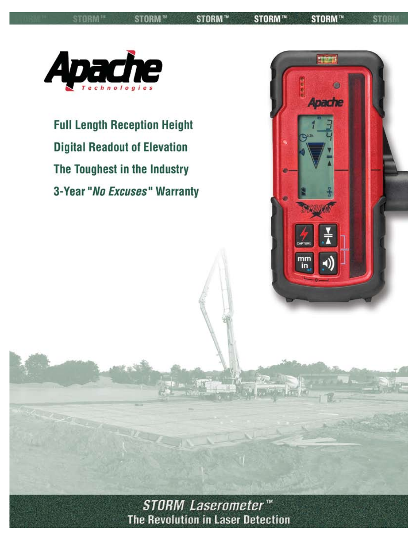**STORM™** 

STORM™ STORM™

**STORM™** 

**STOR** 



**Full Length Reception Height Digital Readout of Elevation** The Toughest in the Industry 3-Year "No Excuses" Warranty



STORM Laserometer<sup>™</sup> The Revolution in Laser Detection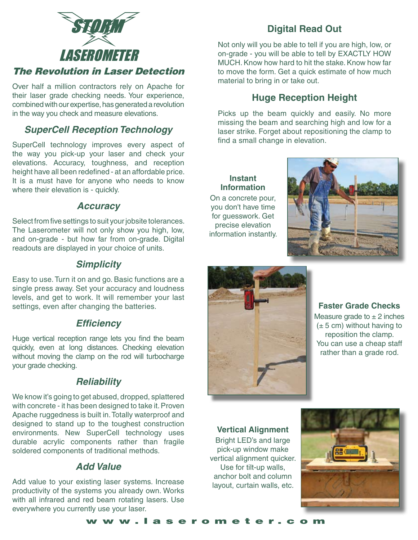

### The Revolution in Laser Detection

Over half a million contractors rely on Apache for their laser grade checking needs. Your experience, combined with our expertise, has generated a revolution in the way you check and measure elevations.

### *SuperCell Reception Technology*

SuperCell technology improves every aspect of the way you pick-up your laser and check your elevations. Accuracy, toughness, and reception height have all been redefined - at an affordable price. It is a must have for anyone who needs to know where their elevation is - quickly.

#### *Accuracy*

Select from five settings to suit your jobsite tolerances. The Laserometer will not only show you high, low, and on-grade - but how far from on-grade. Digital readouts are displayed in your choice of units.

#### *Simplicity*

Easy to use. Turn it on and go. Basic functions are a single press away. Set your accuracy and loudness levels, and get to work. It will remember your last settings, even after changing the batteries.

#### *Efficiency*

Huge vertical reception range lets you find the beam quickly, even at long distances. Checking elevation without moving the clamp on the rod will turbocharge your grade checking.

#### *Reliability*

We know it's going to get abused, dropped, splattered with concrete - it has been designed to take it. Proven Apache ruggedness is built in. Totally waterproof and designed to stand up to the toughest construction environments. New SuperCell technology uses durable acrylic components rather than fragile soldered components of traditional methods.

#### *Add Value*

Add value to your existing laser systems. Increase productivity of the systems you already own. Works with all infrared and red beam rotating lasers. Use everywhere you currently use your laser.

## **Digital Read Out**

Not only will you be able to tell if you are high, low, or on-grade - you will be able to tell by EXACTLY HOW MUCH. Know how hard to hit the stake. Know how far to move the form. Get a quick estimate of how much material to bring in or take out.

### **Huge Reception Height**

Picks up the beam quickly and easily. No more missing the beam and searching high and low for a laser strike. Forget about repositioning the clamp to find a small change in elevation.

**Instant Information** On a concrete pour, you don't have time for guesswork. Get precise elevation information instantly.





**Faster Grade Checks** Measure grade to  $\pm$  2 inches  $(\pm 5 \text{ cm})$  without having to reposition the clamp. You can use a cheap staff rather than a grade rod.

#### **Vertical Alignment**

Bright LED's and large pick-up window make vertical alignment quicker. Use for tilt-up walls, anchor bolt and column layout, curtain walls, etc.



www.laserometer.com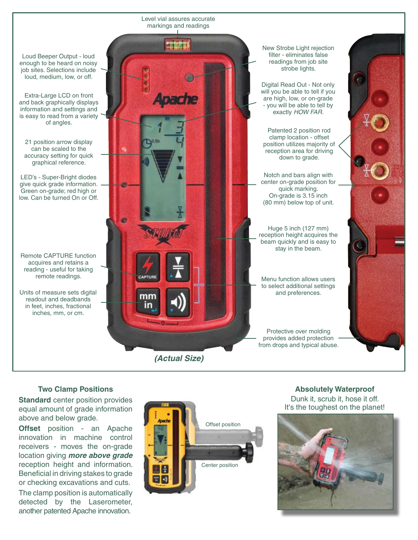Loud Beeper Output - loud enough to be heard on noisy job sites. Selections include loud, medium, low, or off.

Extra-Large LCD on front and back graphically displays information and settings and is easy to read from a variety of angles.

21 position arrow display can be scaled to the accuracy setting for quick graphical reference.

LED's - Super-Bright diodes give quick grade information. Green on-grade; red high or low. Can be turned On or Off.

Remote CAPTURE function acquires and retains a reading - useful for taking remote readings.

readout and deadbands in feet, inches, fractional inches, mm, or cm.

*(Actual Size)* Units of measure sets digital **and preferences**.

Level vial assures accurate markings and readings

> New Strobe Light rejection filter - eliminates false readings from job site strobe lights.

Digital Read Out - Not only will you be able to tell if you are high, low, or on-grade - you will be able to tell by exactly *HOW FAR*.

Patented 2 position rod clamp location - offset position utilizes majority of reception area for driving down to grade.

Notch and bars align with center on-grade position for quick marking. On-grade is 3.15 inch (80 mm) below top of unit.

Huge 5 inch (127 mm) reception height acquires the beam quickly and is easy to stay in the beam.

Menu function allows users to select additional settings

Protective over molding provides added protection from drops and typical abuse.

#### **Two Clamp Positions**

**Standard** center position provides equal amount of grade information above and below grade.

**Offset** position - an Apache innovation in machine control receivers - moves the on-grade location giving *more above grade* reception height and information. Beneficial in driving stakes to grade or checking excavations and cuts.

The clamp position is automatically detected by the Laserometer, another patented Apache innovation.



#### **Absolutely Waterproof** Dunk it, scrub it, hose it off. It's the toughest on the planet!